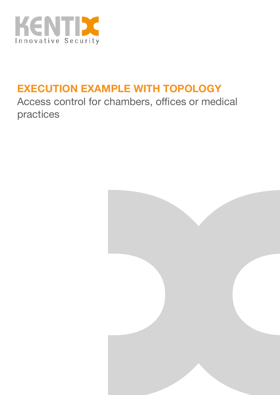

## **EXECUTION EXAMPLE WITH TOPOLOGY**

Access control for chambers, offices or medical practices

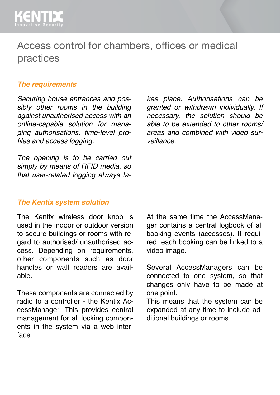

### Access control for chambers, offices or medical practices

#### *The requirements*

*Securing house entrances and possibly other rooms in the building against unauthorised access with an online-capable solution for managing authorisations, time-level profiles and access logging.*

*The opening is to be carried out simply by means of RFID media, so that user-related logging always ta-* *kes place. Authorisations can be granted or withdrawn individually. If necessary, the solution should be able to be extended to other rooms/ areas and combined with video surveillance.*

#### *The Kentix system solution*

The Kentix wireless door knob is used in the indoor or outdoor version to secure buildings or rooms with regard to authorised/ unauthorised access. Depending on requirements, other components such as door handles or wall readers are available.

These components are connected by radio to a controller - the Kentix AccessManager. This provides central management for all locking components in the system via a web interface.

At the same time the AccessManager contains a central logbook of all booking events (accesses). If required, each booking can be linked to a video image.

Several AccessManagers can be connected to one system, so that changes only have to be made at one point.

This means that the system can be expanded at any time to include additional buildings or rooms.